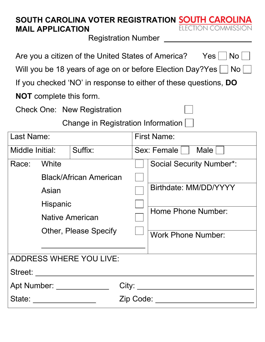| SOUTH CAROLINA VOTER REGISTRATION SOUTH CAROLINA<br>ELECTION COMMISSION |
|-------------------------------------------------------------------------|
| <b>Registration Number</b>                                              |
| Are you a citizen of the United States of America?<br>Yes  <br>$No$     |
| Will you be 18 years of age on or before Election Day?Yes   No          |
| If you checked 'NO' in response to either of these questions, DO        |
|                                                                         |
|                                                                         |
| Change in Registration Information                                      |
| <b>First Name:</b>                                                      |
| Sex: Female  <br>Male                                                   |
| <b>Social Security Number*:</b>                                         |
|                                                                         |
| Birthdate: MM/DD/YYYY                                                   |
|                                                                         |
| <b>Home Phone Number:</b>                                               |
| <b>Work Phone Number:</b>                                               |
|                                                                         |
|                                                                         |
|                                                                         |
|                                                                         |
|                                                                         |

| State: | Zip Code: |
|--------|-----------|
|        |           |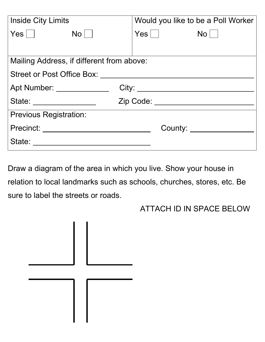|                                           | Would you like to be a Poll Worker |  |  |  |  |  |  |
|-------------------------------------------|------------------------------------|--|--|--|--|--|--|
| $\mathsf{No} \,   \,$ $\,$                | $\mathsf{Yes} \mid \mid$ No $\mid$ |  |  |  |  |  |  |
|                                           |                                    |  |  |  |  |  |  |
| Mailing Address, if different from above: |                                    |  |  |  |  |  |  |
|                                           |                                    |  |  |  |  |  |  |
| Apt Number: ______________                |                                    |  |  |  |  |  |  |
| Zip Code: ___________________________     |                                    |  |  |  |  |  |  |
|                                           |                                    |  |  |  |  |  |  |
| Precinct: _____________________           | County: _______________            |  |  |  |  |  |  |
| State:                                    |                                    |  |  |  |  |  |  |
|                                           |                                    |  |  |  |  |  |  |

Draw a diagram of the area in which you live. Show your house in relation to local landmarks such as schools, churches, stores, etc. Be sure to label the streets or roads.

ATTACH ID IN SPACE BELOW

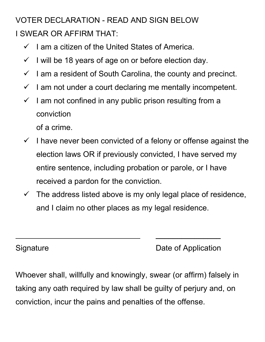## VOTER DECLARATION - READ AND SIGN BELOW I SWEAR OR AFFIRM THAT:

- $\checkmark$  I am a citizen of the United States of America.
- $\checkmark$  I will be 18 years of age on or before election day.
- $\checkmark$  I am a resident of South Carolina, the county and precinct.
- $\checkmark$  I am not under a court declaring me mentally incompetent.
- $\checkmark$  I am not confined in any public prison resulting from a conviction

of a crime.

- $\checkmark$  I have never been convicted of a felony or offense against the election laws OR if previously convicted, I have served my entire sentence, including probation or parole, or I have received a pardon for the conviction.
- $\checkmark$  The address listed above is my only legal place of residence, and I claim no other places as my legal residence.

Signature **Date of Application** 

 $\overline{\phantom{a}}$  , where  $\overline{\phantom{a}}$ 

Whoever shall, willfully and knowingly, swear (or affirm) falsely in taking any oath required by law shall be guilty of perjury and, on conviction, incur the pains and penalties of the offense.